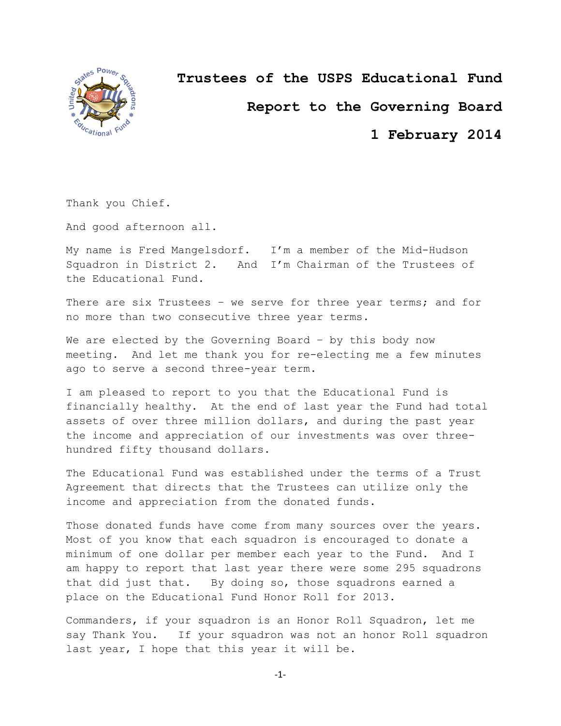

**Trustees of the USPS Educational Fund**

**Report to the Governing Board**

**1 February 2014**

Thank you Chief.

And good afternoon all.

My name is Fred Mangelsdorf. I'm a member of the Mid-Hudson Squadron in District 2. And I'm Chairman of the Trustees of the Educational Fund.

There are six Trustees - we serve for three year terms; and for no more than two consecutive three year terms.

We are elected by the Governing Board – by this body now meeting. And let me thank you for re-electing me a few minutes ago to serve a second three-year term.

I am pleased to report to you that the Educational Fund is financially healthy. At the end of last year the Fund had total assets of over three million dollars, and during the past year the income and appreciation of our investments was over threehundred fifty thousand dollars.

The Educational Fund was established under the terms of a Trust Agreement that directs that the Trustees can utilize only the income and appreciation from the donated funds.

Those donated funds have come from many sources over the years. Most of you know that each squadron is encouraged to donate a minimum of one dollar per member each year to the Fund. And I am happy to report that last year there were some 295 squadrons that did just that. By doing so, those squadrons earned a place on the Educational Fund Honor Roll for 2013.

Commanders, if your squadron is an Honor Roll Squadron, let me say Thank You. If your squadron was not an honor Roll squadron last year, I hope that this year it will be.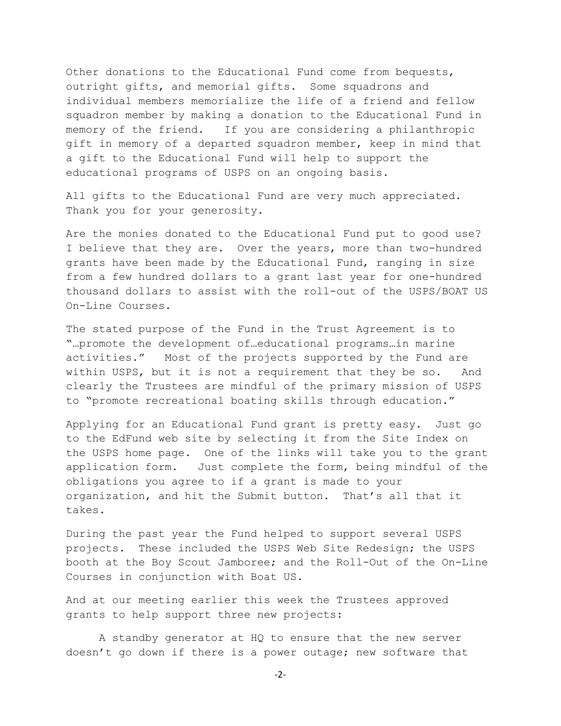Other donations to the Educational Fund come from bequests, outright gifts, and memorial gifts. Some squadrons and individual members memorialize the life of a friend and fellow squadron member by making a donation to the Educational Fund in memory of the friend. If you are considering a philanthropic gift in memory of a departed squadron member, keep in mind that a gift to the Educational Fund will help to support the educational programs of USPS on an ongoing basis.

All gifts to the Educational Fund are very much appreciated. Thank you for your generosity.

Are the monies donated to the Educational Fund put to good use? I believe that they are. Over the years, more than two-hundred grants have been made by the Educational Fund, ranging in size from a few hundred dollars to a grant last year for one-hundred thousand dollars to assist with the roll-out of the USPS/BOAT US On-Line Courses.

The stated purpose of the Fund in the Trust Agreement is to "…promote the development of…educational programs…in marine activities." Most of the projects supported by the Fund are within USPS, but it is not a requirement that they be so. And clearly the Trustees are mindful of the primary mission of USPS to "promote recreational boating skills through education."

Applying for an Educational Fund grant is pretty easy. Just go to the EdFund web site by selecting it from the Site Index on the USPS home page. One of the links will take you to the grant application form. Just complete the form, being mindful of the obligations you agree to if a grant is made to your organization, and hit the Submit button. That's all that it takes.

During the past year the Fund helped to support several USPS projects. These included the USPS Web Site Redesign; the USPS booth at the Boy Scout Jamboree; and the Roll-Out of the On-Line Courses in conjunction with Boat US.

And at our meeting earlier this week the Trustees approved grants to help support three new projects:

A standby generator at HQ to ensure that the new server doesn't go down if there is a power outage; new software that